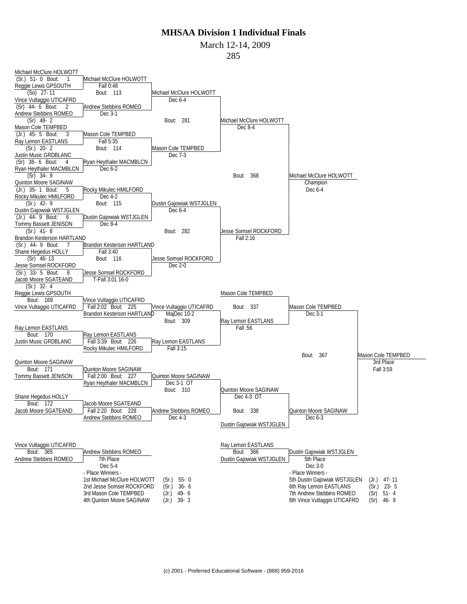March 12-14, 2009

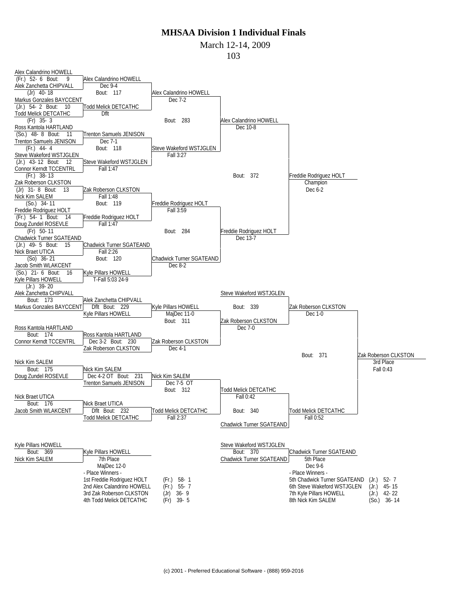March 12-14, 2009

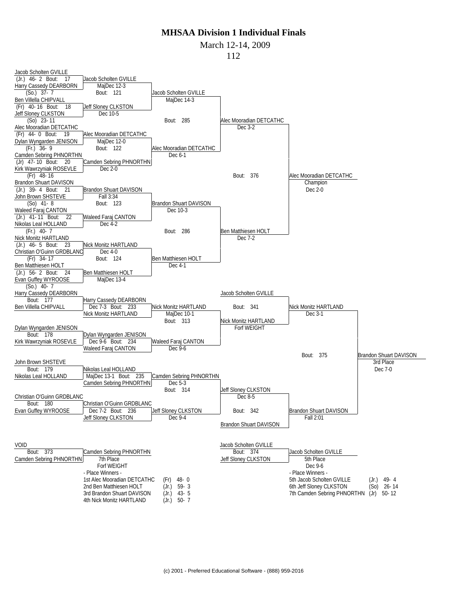March 12-14, 2009

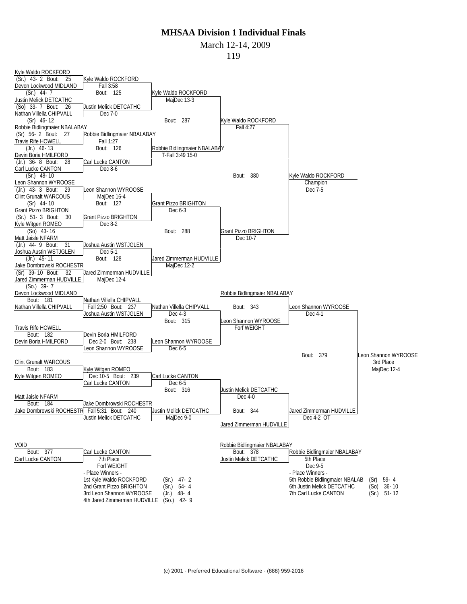#### March 12-14, 2009

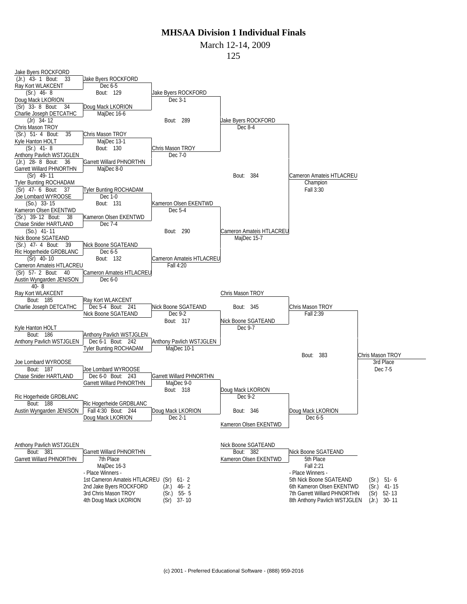March 12-14, 2009

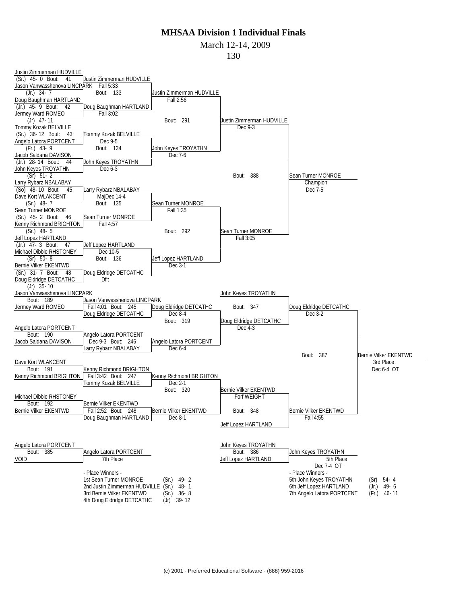March 12-14, 2009

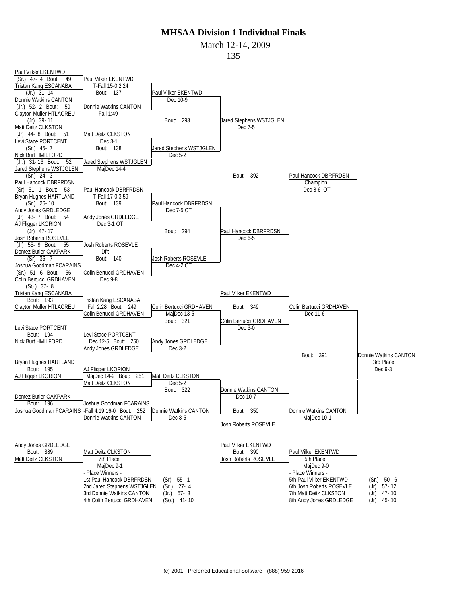March 12-14, 2009

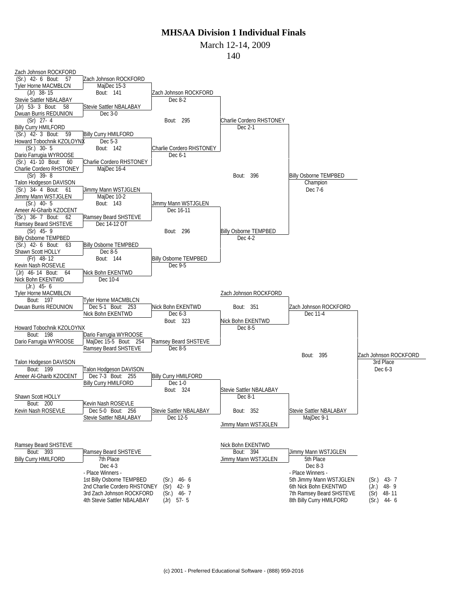March 12-14, 2009

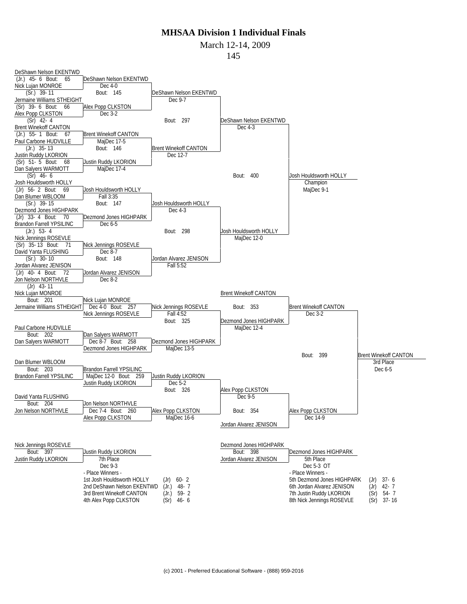March 12-14, 2009

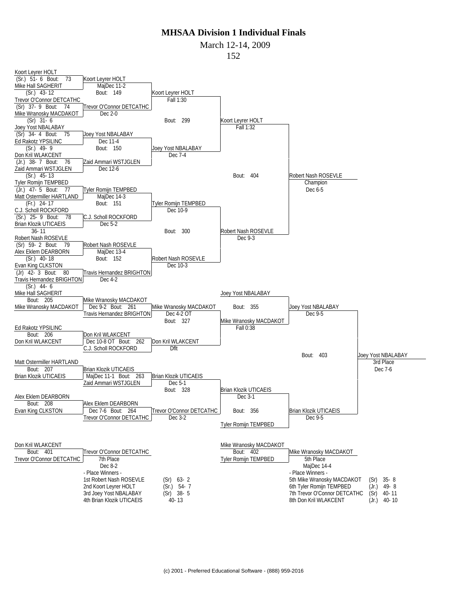March 12-14, 2009

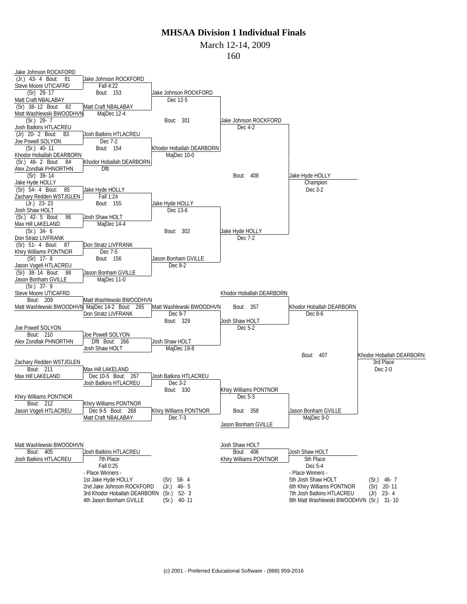March 12-14, 2009

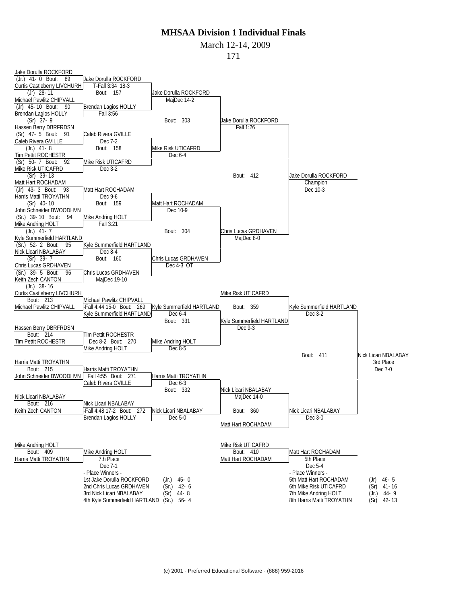#### March 12-14, 2009

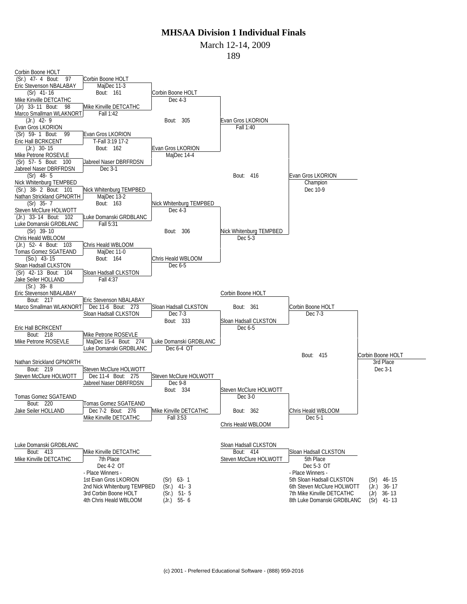March 12-14, 2009

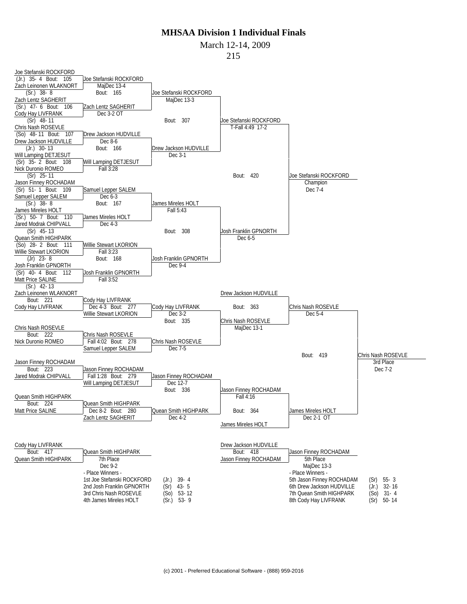March 12-14, 2009